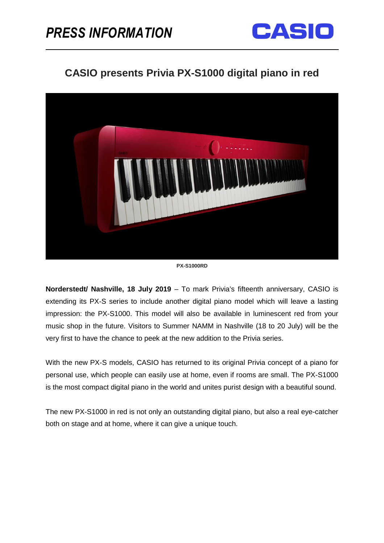

# **CASIO presents Privia PX-S1000 digital piano in red**



**PX-S1000RD**

**Norderstedt/ Nashville, 18 July 2019** – To mark Privia's fifteenth anniversary, CASIO is extending its PX-S series to include another digital piano model which will leave a lasting impression: the PX-S1000. This model will also be available in luminescent red from your music shop in the future. Visitors to Summer NAMM in Nashville (18 to 20 July) will be the very first to have the chance to peek at the new addition to the Privia series.

With the new PX-S models, CASIO has returned to its original Privia concept of a piano for personal use, which people can easily use at home, even if rooms are small. The PX-S1000 is the most compact digital piano in the world and unites purist design with a beautiful sound.

The new PX-S1000 in red is not only an outstanding digital piano, but also a real eye-catcher both on stage and at home, where it can give a unique touch.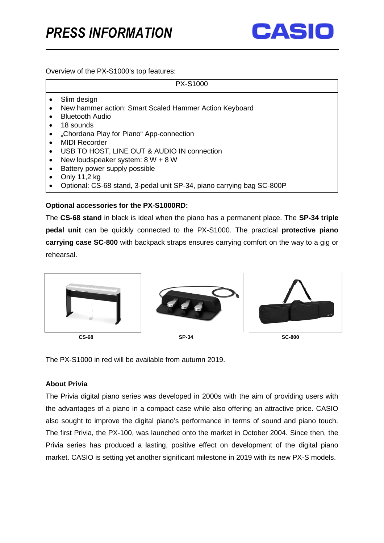

Overview of the PX-S1000's top features:

|           | <b>PX-S1000</b>                                                       |
|-----------|-----------------------------------------------------------------------|
|           | Slim design                                                           |
|           | New hammer action: Smart Scaled Hammer Action Keyboard                |
|           | <b>Bluetooth Audio</b>                                                |
|           | 18 sounds                                                             |
|           | "Chordana Play for Piano" App-connection                              |
| $\bullet$ | <b>MIDI Recorder</b>                                                  |
| $\bullet$ | USB TO HOST, LINE OUT & AUDIO IN connection                           |
|           | New loudspeaker system: $8 W + 8 W$                                   |
|           | Battery power supply possible                                         |
|           | Only 11,2 kg                                                          |
|           | Optional: CS-68 stand, 3-pedal unit SP-34, piano carrying bag SC-800P |

## **Optional accessories for the PX-S1000RD:**

The **CS-68 stand** in black is ideal when the piano has a permanent place. The **SP-34 triple pedal unit** can be quickly connected to the PX-S1000. The practical **protective piano carrying case SC-800** with backpack straps ensures carrying comfort on the way to a gig or rehearsal.



The PX-S1000 in red will be available from autumn 2019.

# **About Privia**

The Privia digital piano series was developed in 2000s with the aim of providing users with the advantages of a piano in a compact case while also offering an attractive price. CASIO also sought to improve the digital piano's performance in terms of sound and piano touch. The first Privia, the PX-100, was launched onto the market in October 2004. Since then, the Privia series has produced a lasting, positive effect on development of the digital piano market. CASIO is setting yet another significant milestone in 2019 with its new PX-S models.